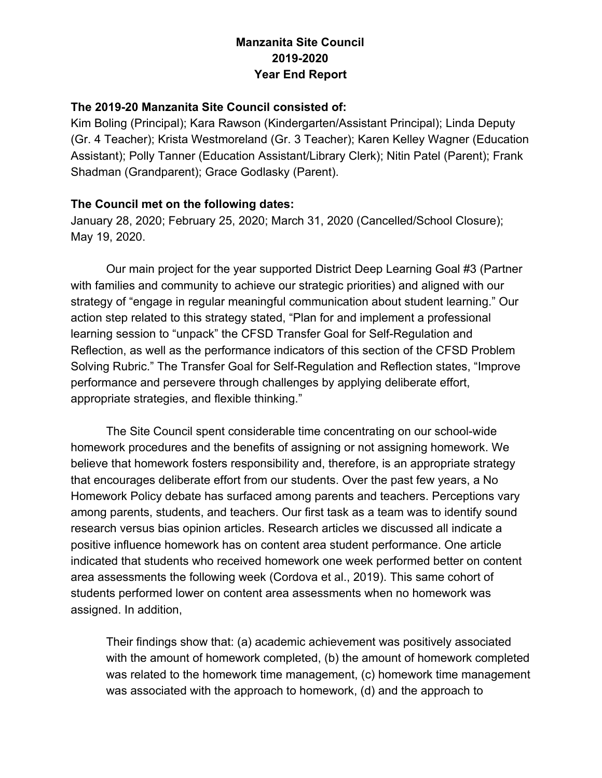### **The 2019-20 Manzanita Site Council consisted of:**

Kim Boling (Principal); Kara Rawson (Kindergarten/Assistant Principal); Linda Deputy (Gr. 4 Teacher); Krista Westmoreland (Gr. 3 Teacher); Karen Kelley Wagner (Education Assistant); Polly Tanner (Education Assistant/Library Clerk); Nitin Patel (Parent); Frank Shadman (Grandparent); Grace Godlasky (Parent).

#### **The Council met on the following dates:**

January 28, 2020; February 25, 2020; March 31, 2020 (Cancelled/School Closure); May 19, 2020.

Our main project for the year supported District Deep Learning Goal #3 (Partner with families and community to achieve our strategic priorities) and aligned with our strategy of "engage in regular meaningful communication about student learning." Our action step related to this strategy stated, "Plan for and implement a professional learning session to "unpack" the CFSD Transfer Goal for Self-Regulation and Reflection, as well as the performance indicators of this section of the CFSD Problem Solving Rubric." The Transfer Goal for Self-Regulation and Reflection states, "Improve performance and persevere through challenges by applying deliberate effort, appropriate strategies, and flexible thinking."

The Site Council spent considerable time concentrating on our school-wide homework procedures and the benefits of assigning or not assigning homework. We believe that homework fosters responsibility and, therefore, is an appropriate strategy that encourages deliberate effort from our students. Over the past few years, a No Homework Policy debate has surfaced among parents and teachers. Perceptions vary among parents, students, and teachers. Our first task as a team was to identify sound research versus bias opinion articles. Research articles we discussed all indicate a positive influence homework has on content area student performance. One article indicated that students who received homework one week performed better on content area assessments the following week (Cordova et al., 2019). This same cohort of students performed lower on content area assessments when no homework was assigned. In addition,

Their findings show that: (a) academic achievement was positively associated with the amount of homework completed, (b) the amount of homework completed was related to the homework time management, (c) homework time management was associated with the approach to homework, (d) and the approach to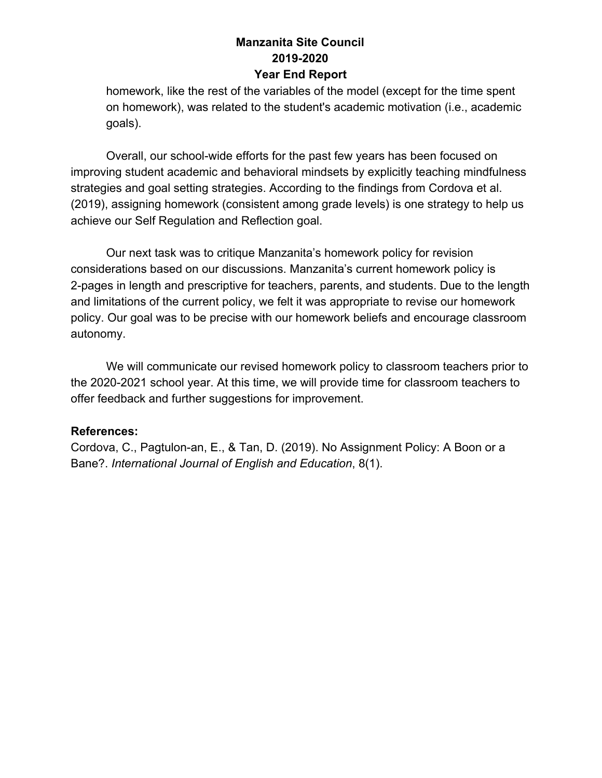homework, like the rest of the variables of the model (except for the time spent on homework), was related to the student's academic motivation (i.e., academic goals).

Overall, our school-wide efforts for the past few years has been focused on improving student academic and behavioral mindsets by explicitly teaching mindfulness strategies and goal setting strategies. According to the findings from Cordova et al. (2019), assigning homework (consistent among grade levels) is one strategy to help us achieve our Self Regulation and Reflection goal.

Our next task was to critique Manzanita's homework policy for revision considerations based on our discussions. Manzanita's current homework policy is 2-pages in length and prescriptive for teachers, parents, and students. Due to the length and limitations of the current policy, we felt it was appropriate to revise our homework policy. Our goal was to be precise with our homework beliefs and encourage classroom autonomy.

We will communicate our revised homework policy to classroom teachers prior to the 2020-2021 school year. At this time, we will provide time for classroom teachers to offer feedback and further suggestions for improvement.

#### **References:**

Cordova, C., Pagtulon-an, E., & Tan, D. (2019). No Assignment Policy: A Boon or a Bane?. *International Journal of English and Education*, 8(1).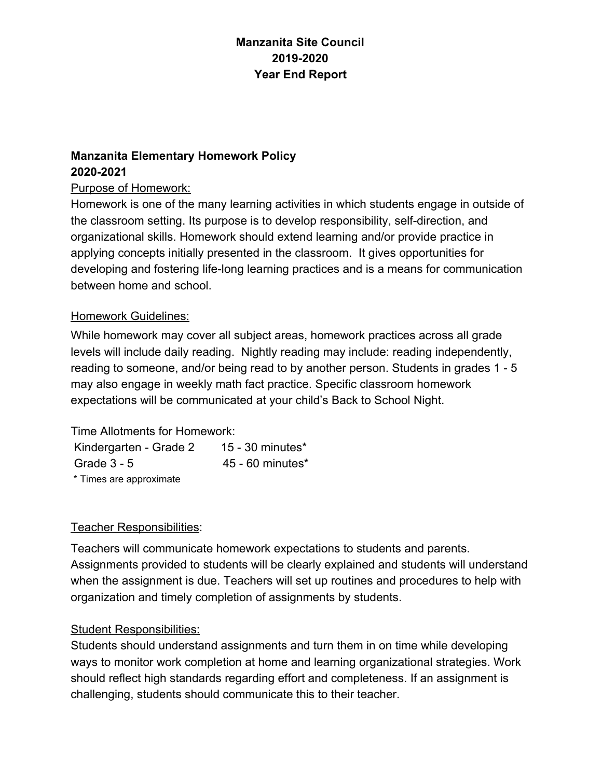# **Manzanita Elementary Homework Policy 2020-2021**

#### Purpose of Homework:

Homework is one of the many learning activities in which students engage in outside of the classroom setting. Its purpose is to develop responsibility, self-direction, and organizational skills. Homework should extend learning and/or provide practice in applying concepts initially presented in the classroom. It gives opportunities for developing and fostering life-long learning practices and is a means for communication between home and school.

#### Homework Guidelines:

While homework may cover all subject areas, homework practices across all grade levels will include daily reading. Nightly reading may include: reading independently, reading to someone, and/or being read to by another person. Students in grades 1 - 5 may also engage in weekly math fact practice. Specific classroom homework expectations will be communicated at your child's Back to School Night.

Time Allotments for Homework: Kindergarten - Grade 2 15 - 30 minutes<sup>\*</sup> Grade 3 - 5 45 - 60 minutes<sup>\*</sup>

\* Times are approximate

### Teacher Responsibilities:

Teachers will communicate homework expectations to students and parents. Assignments provided to students will be clearly explained and students will understand when the assignment is due. Teachers will set up routines and procedures to help with organization and timely completion of assignments by students.

### Student Responsibilities:

Students should understand assignments and turn them in on time while developing ways to monitor work completion at home and learning organizational strategies. Work should reflect high standards regarding effort and completeness. If an assignment is challenging, students should communicate this to their teacher.